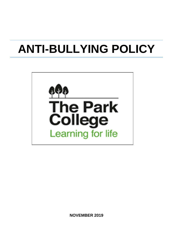# **ANTI-BULLYING POLICY**



**NOVEMBER 2019**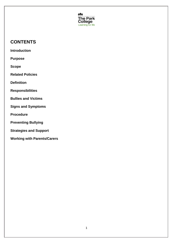

# **CONTENTS**

**Introduction**

**Purpose**

**Scope**

**Related Policies**

**Definition**

**Responsibilities**

**Bullies and Victims**

**Signs and Symptoms**

**Procedure**

**Preventing Bullying**

**Strategies and Support**

**Working with Parents/Carers**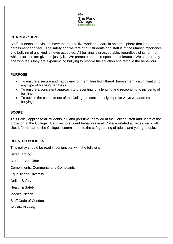

#### **INTRODUCTION**

Staff, students and visitors have the right to live work and learn in an atmosphere that is free from harassment and fear. The safety and welfare of our students and staff is of the utmost importance and bullying of any kind is never accepted. All bullying is unacceptable, regardless of its form or which excuses are given to justify it. We promote mutual respect and tolerance. We support any one who feels they are experiencing bullying to resolve the situation and remove the behaviour.

#### **PURPOSE**

- To ensure a secure and happy environment, free from threat, harassment, discrimination or any type of bullying behaviour
- To ensure a consistent approach to preventing, challenging and responding to incidents of bullying
- To outline the commitment of the College to continuously improve ways we address bullying

#### **SCOPE**

This Policy applies to all students, full and part-time, enrolled at the College, staff and users of the provision at the College. It applies to student behaviour in all College related activities, on or off site. It forms part of the College's commitment to the safeguarding of adults and young people.

# **RELATED POLICIES**

This policy should be read in conjunction with the following:

**Safeguarding** 

Student Behaviour

Compliments, Comments and Complaints

Equality and Diversity

Online Safety

Health & Safety

Medical Needs

Staff Code of Conduct

Whistle Blowing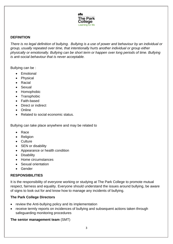

#### **DEFINITION**

*There is no legal definition of bullying. Bullying is a use of power and behaviour by an individual or group, usually repeated over time, that intentionally hurts another individual or group either physically or emotionally. Bullying can be short term or happen over long periods of time. Bullying is anti-social behaviour that is never acceptable.* 

Bullying can be :

- Emotional
- Physical
- Racial
- Sexual
- Homophobic
- Transphobic
- Faith-based
- Direct or indirect
- Online
- Related to social economic status.

Bullying can take place anywhere and may be related to

- Race
- Religion
- Culture
- SEN or disability
- Appearance or health condition
- Disability
- Home circumstances
- Sexual orientation
- Gender

#### **RESPONSIBILITIES**

It is the responsibility of everyone working or studying at The Park College to promote mutual respect, fairness and equality. Everyone should understand the issues around bullying, be aware of signs to look out for and know how to manage any incidents of bullying.

# **The Park College Directors**

- review the Anti-bullying policy and its implementation
- receive termly reports on incidences of bullying and subsequent actions taken through safeguarding monitoring procedures

# **The senior management team** (SMT)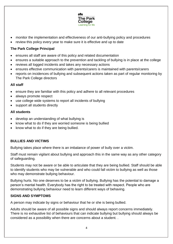

- monitor the implementation and effectiveness of our anti-bullying policy and procedures
- review this policy every year to make sure it is effective and up to date

# **The Park College Principal**

- ensures all staff are aware of this policy and related documentation
- ensures a suitable approach to the prevention and tackling of bullying is in place at the college
- reviews all logged incidents and takes any necessary actions
- ensures effective communication with parents/carers is maintained with parents/carers
- reports on incidences of bullying and subsequent actions taken as part of regular monitoring by The Park College directors

#### **All staff**

- ensure they are familiar with this policy and adhere to all relevant procedures
- always promote respect
- use college wide systems to report all incidents of bullying
- support all students directly

#### **All students**

- develop an understanding of what bullying is
- know what to do if they are worried someone is being bullied
- know what to do if they are being bullied.

# **BULLIES AND VICTIMS**

Bullying takes place where there is an imbalance of power of bully over a victim.

Staff must remain vigilant about bullying and approach this in the same way as any other category of safeguarding.

Students may not be aware or be able to articulate that they are being bullied. Staff should be able to identify students who may be vulnerable and who could fall victim to bullying as well as those who may demonstrate bullying behaviour.

Bullying hurts. No one deserves to be a victim of bullying. Bullying has the potential to damage a person's mental health. Everybody has the right to be treated with respect. People who are demonstrating bullying behaviour need to learn different ways of behaving.

# **SIGNS AND SYMPTOMS**

A person may indicate by signs or behaviour that he or she is being bullied.

Adults should be aware of all possible signs and should always report concerns immediately. There is no exhaustive list of behaviours that can indicate bullying but bullying should always be considered as a possibility when there are concerns about a student. .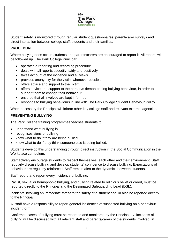

Student safety is monitored through regular student questionnaires, parent/carer surveys and direct interaction between college staff, students and their families.

#### **PROCEDURE**

Where bullying does occur, students and parents/carers are encouraged to report it. All reports will be followed up. The Park College Principal:

- operates a reporting and recording procedure
- deals with all reports speedily, fairly and positively
- takes account of the evidence and all views
- provides anonymity for the victim whenever possible
- offers advice and support to the victim
- offers advice and support to the person/s demonstrating bullying behaviour, in order to support them to change their behaviour
- ensures that all involved are kept informed
- responds to bullying behaviours in line with The Park College Student Behaviour Policy.

When necessary the Principal will inform other key college staff and relevant external agencies.

#### **PREVENTING BULLYING**

The Park College training programmes teaches students to:

- understand what bullying is
- recognises signs of bullying
- know what to do if they are being bullied
- know what to do if they think someone else is being bullied.

Students develop this understanding through direct instruction in the Social Communication in the Workplace curriculum.

Staff actively encourage students to respect themselves, each other and their environment. Staff regularly discuss bullying and develop students' confidence to discuss bullying. Expectations of behaviour are regularly reinforced. Staff remain alert to the dynamics between students.

Staff record and report every incidence of bullying.

Racist, sexual or homophobic bullying, and bullying related to religious belief or creed, must be reported directly to the Principal and the Designated Safeguarding Lead (DSL).

Incidents involving an immediate threat to the safety of a student should also be reported directly to the Principal.

All staff have a responsibility to report general incidences of suspected bullying on a behaviour incident form.

Confirmed cases of bullying must be recorded and monitored by the Principal. All incidents of bullying will be discussed with all relevant staff and parents/carers of the students involved, in